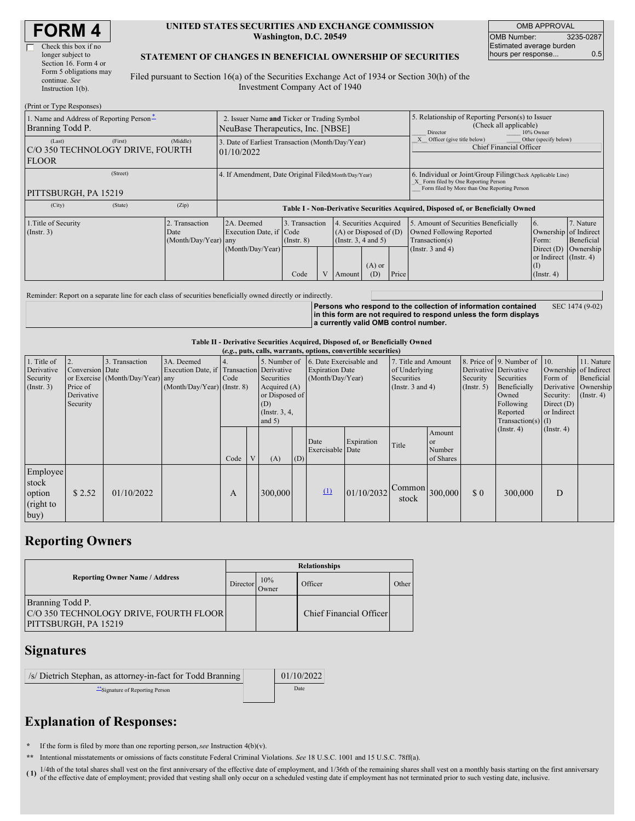| <b>FORM4</b> |  |
|--------------|--|
|--------------|--|

| Check this box if no   |
|------------------------|
| longer subject to      |
| Section 16. Form 4 or  |
| Form 5 obligations may |
| continue. See          |
| Instruction $l(b)$ .   |

#### **UNITED STATES SECURITIES AND EXCHANGE COMMISSION Washington, D.C. 20549**

OMB APPROVAL OMB Number: 3235-0287 Estimated average burden hours per response... **0.5** 

### **STATEMENT OF CHANGES IN BENEFICIAL OWNERSHIP OF SECURITIES**

Filed pursuant to Section 16(a) of the Securities Exchange Act of 1934 or Section 30(h) of the Investment Company Act of 1940

| (Print or Type Responses)                                    |         |                                                                                  |                                                                                  |                                           |  |                                                                                        |                                                                                                     |                                                                                                                                                    |                                                                                                             |                                                                                                                               |                                      |
|--------------------------------------------------------------|---------|----------------------------------------------------------------------------------|----------------------------------------------------------------------------------|-------------------------------------------|--|----------------------------------------------------------------------------------------|-----------------------------------------------------------------------------------------------------|----------------------------------------------------------------------------------------------------------------------------------------------------|-------------------------------------------------------------------------------------------------------------|-------------------------------------------------------------------------------------------------------------------------------|--------------------------------------|
| 1. Name and Address of Reporting Person-<br>Branning Todd P. |         | 2. Issuer Name and Ticker or Trading Symbol<br>NeuBase Therapeutics, Inc. [NBSE] |                                                                                  |                                           |  |                                                                                        | 5. Relationship of Reporting Person(s) to Issuer<br>(Check all applicable)<br>Director<br>10% Owner |                                                                                                                                                    |                                                                                                             |                                                                                                                               |                                      |
| (Last)<br>C/O 350 TECHNOLOGY DRIVE, FOURTH<br><b>FLOOR</b>   | (First) | (Middle)                                                                         | 3. Date of Earliest Transaction (Month/Day/Year)<br>01/10/2022                   |                                           |  |                                                                                        |                                                                                                     | Other (specify below)<br>Officer (give title below)<br><b>Chief Financial Officer</b>                                                              |                                                                                                             |                                                                                                                               |                                      |
| PITTSBURGH, PA 15219                                         |         | 4. If Amendment, Date Original Filed Month/Day/Year)                             |                                                                                  |                                           |  |                                                                                        |                                                                                                     | 6. Individual or Joint/Group Filing(Check Applicable Line)<br>X Form filed by One Reporting Person<br>Form filed by More than One Reporting Person |                                                                                                             |                                                                                                                               |                                      |
| (City)                                                       | (State) | (Zip)                                                                            | Table I - Non-Derivative Securities Acquired, Disposed of, or Beneficially Owned |                                           |  |                                                                                        |                                                                                                     |                                                                                                                                                    |                                                                                                             |                                                                                                                               |                                      |
| 1. Title of Security<br>$($ Instr. 3 $)$                     |         | Transaction<br>Date<br>(Month/Day/Year) any                                      | 2A. Deemed<br>Execution Date, if Code<br>(Month/Day/Year)                        | 3. Transaction<br>$($ Instr. $8)$<br>Code |  | 4. Securities Acquired<br>$(A)$ or Disposed of $(D)$<br>(Insert. 3, 4 and 5)<br>Amount | $(A)$ or<br>(D)                                                                                     | Price                                                                                                                                              | 5. Amount of Securities Beneficially<br>Owned Following Reported<br>Transaction(s)<br>(Instr. $3$ and $4$ ) | 6.<br>Ownership of Indirect<br>Form:<br>Direct $(D)$<br>or Indirect (Instr. 4)<br>$\left( \Gamma \right)$<br>$($ Instr. 4 $)$ | 7. Nature<br>Beneficial<br>Ownership |

Reminder: Report on a separate line for each class of securities beneficially owned directly or indirectly.

**Persons who respond to the collection of information contained in this form are not required to respond unless the form displays a currently valid OMB control number.** SEC 1474 (9-02)

### **Table II - Derivative Securities Acquired, Disposed of, or Beneficially Owned**

|                                                           | (e.g., puts, calls, warrants, options, convertible securities) |                                                    |                                                                                        |      |   |                                                                                                    |     |                                                                       |            |                                                                             |                                                |                                                       |                                                                                                                                      |                                                                              |                                                                      |
|-----------------------------------------------------------|----------------------------------------------------------------|----------------------------------------------------|----------------------------------------------------------------------------------------|------|---|----------------------------------------------------------------------------------------------------|-----|-----------------------------------------------------------------------|------------|-----------------------------------------------------------------------------|------------------------------------------------|-------------------------------------------------------|--------------------------------------------------------------------------------------------------------------------------------------|------------------------------------------------------------------------------|----------------------------------------------------------------------|
| 1. Title of<br>Derivative<br>Security<br>$($ Instr. 3 $)$ | Conversion Date<br>Price of<br>Derivative<br>Security          | 3. Transaction<br>or Exercise (Month/Day/Year) any | 3A. Deemed<br>Execution Date, if Transaction Derivative<br>(Month/Day/Year) (Instr. 8) | Code |   | 5. Number of<br>Securities<br>Acquired $(A)$<br>or Disposed of<br>(D)<br>(Instr. 3, 4,<br>and $5)$ |     | 6. Date Exercisable and<br><b>Expiration Date</b><br>(Month/Day/Year) |            | 7. Title and Amount<br>of Underlying<br>Securities<br>(Instr. $3$ and $4$ ) |                                                | Derivative Derivative<br>Security<br>$($ Instr. 5 $)$ | 8. Price of $\vert$ 9. Number of $\vert$ 10.<br>Securities<br>Beneficially<br>Owned<br>Following<br>Reported<br>$Transaction(s)$ (I) | Ownership of Indirect<br>Form of<br>Security:<br>Direct $(D)$<br>or Indirect | 11. Nature<br>Beneficial<br>Derivative Ownership<br>$($ Instr. 4 $)$ |
|                                                           |                                                                |                                                    |                                                                                        | Code | V | (A)                                                                                                | (D) | Date<br><b>Exercisable</b> Date                                       | Expiration | Title                                                                       | Amount<br><sub>or</sub><br>Number<br>of Shares |                                                       | $($ Instr. 4 $)$                                                                                                                     | $($ Instr. 4 $)$                                                             |                                                                      |
| Employee<br>stock<br>option<br>(right to<br>buy)          | \$2.52                                                         | 01/10/2022                                         |                                                                                        | А    |   | 300,000                                                                                            |     | $\Omega$                                                              | 01/10/2032 | $\sqrt{\text{Common}}$ 300,000<br>stock                                     |                                                | \$0                                                   | 300,000                                                                                                                              | D                                                                            |                                                                      |

# **Reporting Owners**

|                                                                                    | <b>Relationships</b> |              |                         |       |  |  |  |  |
|------------------------------------------------------------------------------------|----------------------|--------------|-------------------------|-------|--|--|--|--|
| <b>Reporting Owner Name / Address</b>                                              |                      | 10%<br>Owner | Officer                 | Other |  |  |  |  |
| Branning Todd P.<br>C/O 350 TECHNOLOGY DRIVE, FOURTH FLOOR<br>PITTSBURGH, PA 15219 |                      |              | Chief Financial Officer |       |  |  |  |  |

## **Signatures**

| /s/ Dietrich Stephan, as attorney-in-fact for Todd Branning | 01/10/2022 |
|-------------------------------------------------------------|------------|
| Signature of Reporting Person                               | Date       |

# **Explanation of Responses:**

**\*** If the form is filed by more than one reporting person,*see* Instruction 4(b)(v).

**\*\*** Intentional misstatements or omissions of facts constitute Federal Criminal Violations. *See* 18 U.S.C. 1001 and 15 U.S.C. 78ff(a).

**( 1)** 1/4th of the total shares shall vest on the first anniversary of the effective date of employment, and 1/36th of the remaining shares shall vest on a monthly basis starting on the first anniversary of the effective date of employment; provided that vesting shall only occur on a scheduled vesting date if employment has not terminated prior to such vesting date, inclusive.